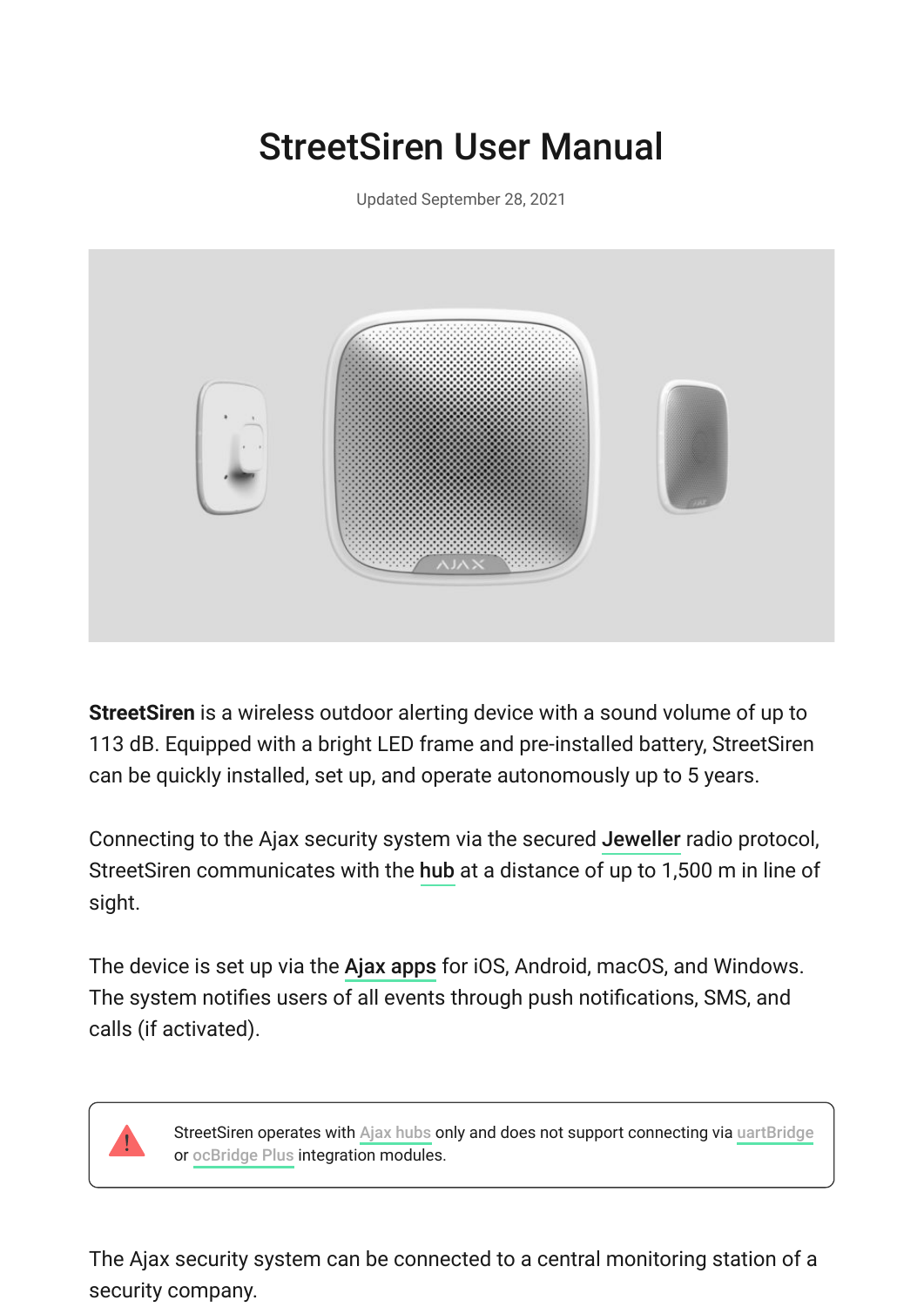# StreetSiren User Manual

Updated September 28, 2021



**StreetSiren** is a wireless outdoor alerting device with a sound volume of up to 113 dB. Equipped with a bright LED frame and pre-installed battery, StreetSiren can be quickly installed, set up, and operate autonomously up to 5 years.

Connecting to the Ajax security system via the secured Jeweller radio protocol, StreetSiren communicates with the hub at a distance of up to 1,500 m in line of sight.

The device is set up via the Ajax apps for iOS, Android, macOS, and Windows. The system notifies users of all events through push notifications, SMS, and calls (if activated).

StreetSiren operates with Ajax hubs only and does not support connecting via [uartBridge](https://ajax.systems/products/uartbridge/) or ocBridge Plus integration modules.

The Ajax security system can be connected to a central monitoring station of a security company.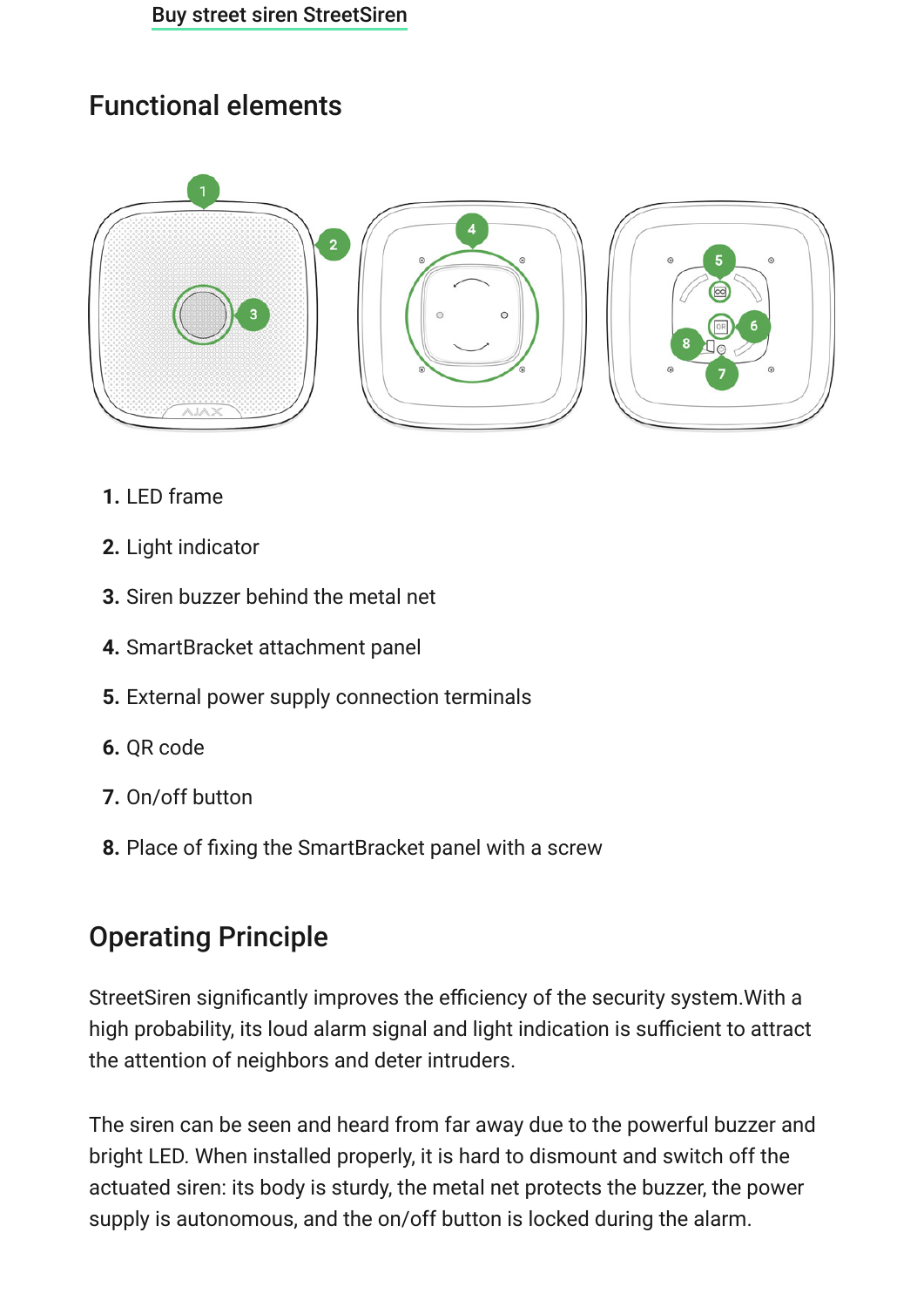## Functional elements



- **1.** LED frame
- **2.** Light indicator
- **3.** Siren buzzer behind the metal net
- **4.** SmartBracket attachment panel
- **5.** External power supply connection terminals
- **6.** QR code
- **7.** On/off button
- **8.** Place of fixing the SmartBracket panel with a screw

## Operating Principle

StreetSiren significantly improves the efficiency of the security system.With a high probability, its loud alarm signal and light indication is sufficient to attract the attention of neighbors and deter intruders.

The siren can be seen and heard from far away due to the powerful buzzer and bright LED. When installed properly, it is hard to dismount and switch off the actuated siren: its body is sturdy, the metal net protects the buzzer, the power supply is autonomous, and the on/off button is locked during the alarm.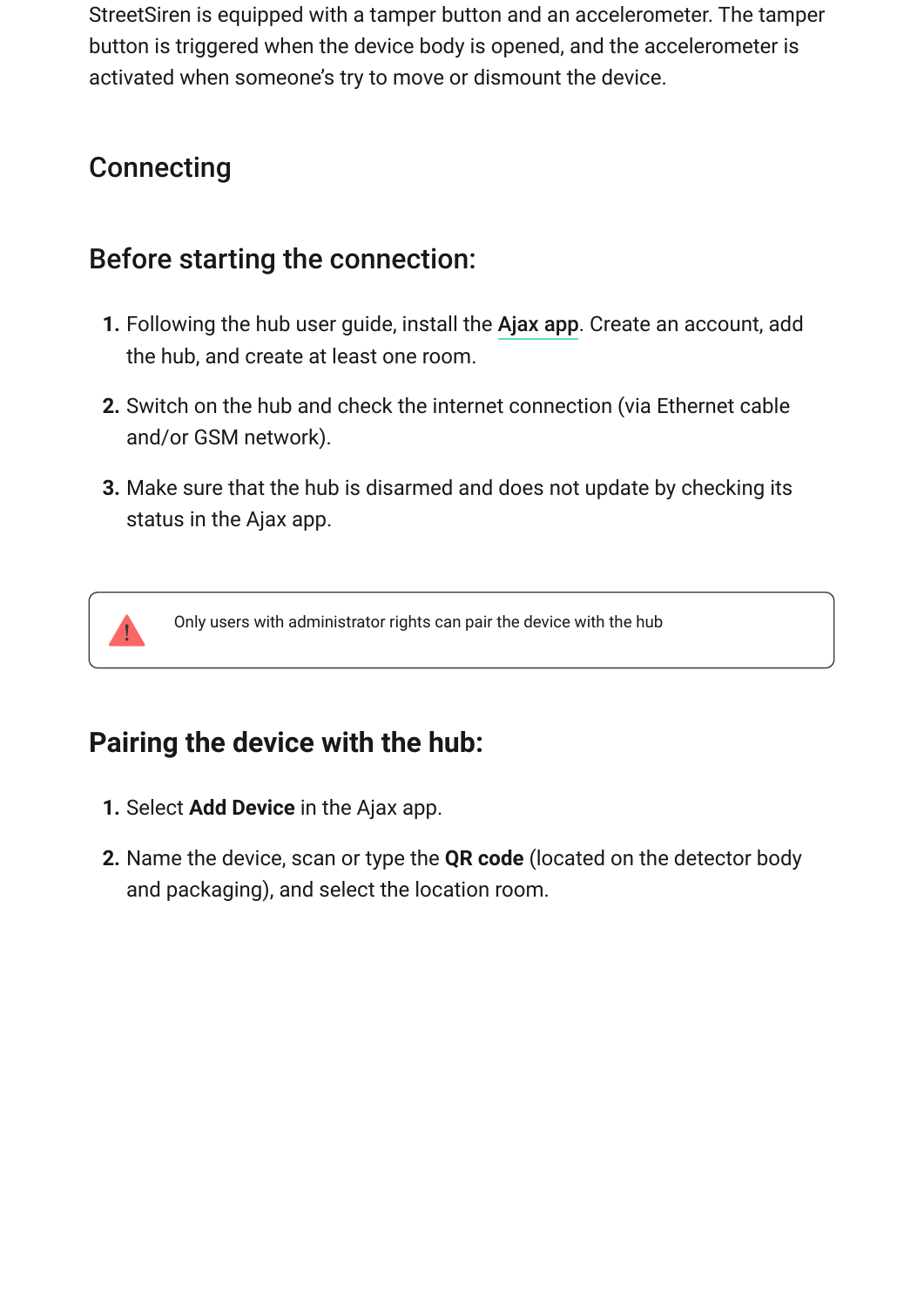StreetSiren is equipped with a tamper button and an accelerometer. The tamper button is triggered when the device body is opened, and the accelerometer is activated when someone's try to move or dismount the device.

### **Connecting**

### Before starting the connection:

- **1.** Following the hub user guide, install the Ajax app. Create an account, add the hub, and create at least one room.
- **2.** Switch on the hub and check the internet connection (via Ethernet cable and/or GSM network).
- **3.** Make sure that the hub is disarmed and does not update by checking its status in the Ajax app.



Only users with administrator rights can pair the device with the hub

### **Pairing the device with the hub:**

- **1.** Select **Add Device** in the Ajax app.
- **2.** Name the device, scan or type the **QR code** (located on the detector body and packaging), and select the location room.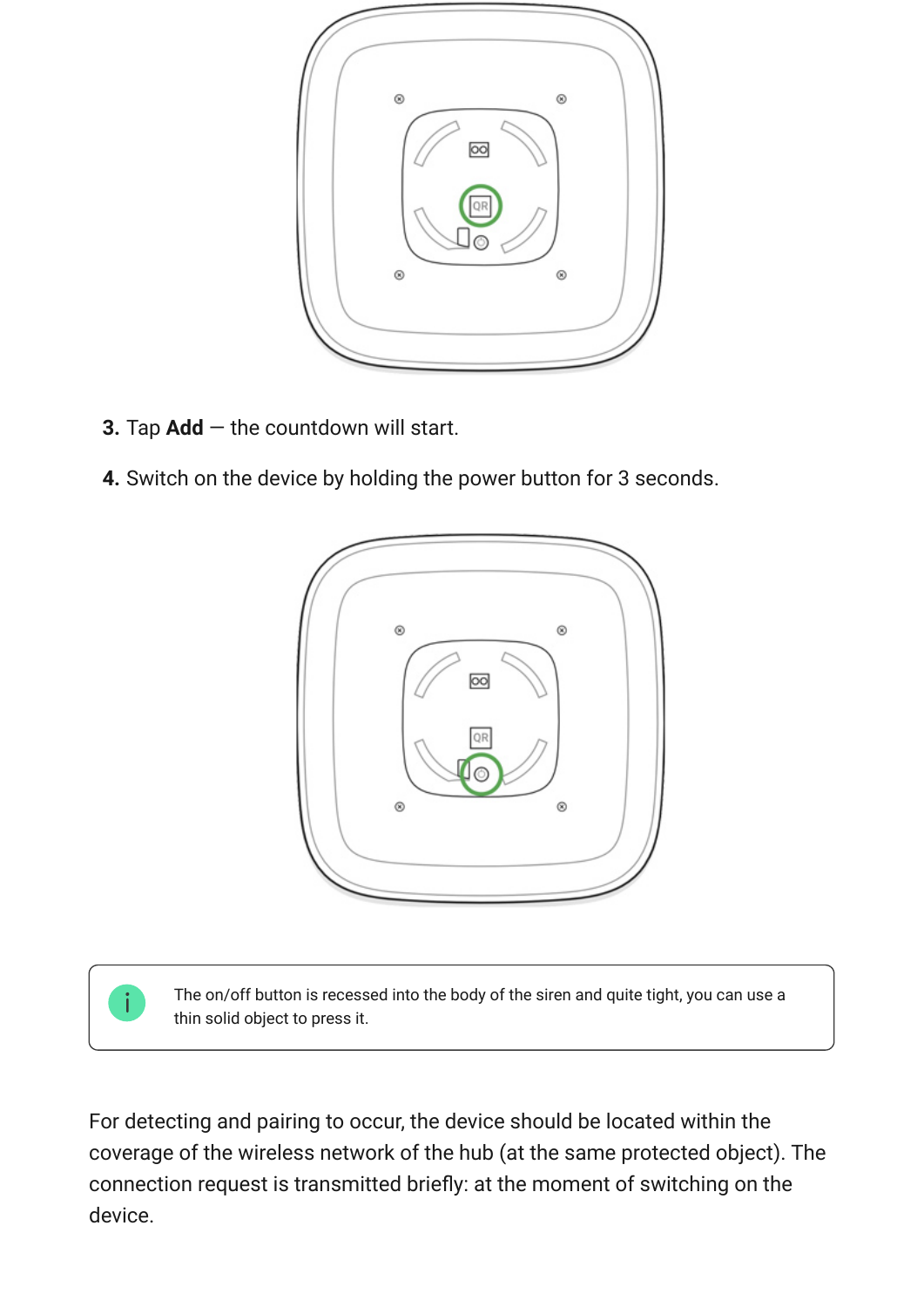

- **3.** Tap **Add** the countdown will start.
- **4.** Switch on the device by holding the power button for 3 seconds.





The on/off button is recessed into the body of the siren and quite tight, you can use a thin solid object to press it.

For detecting and pairing to occur, the device should be located within the coverage of the wireless network of the hub (at the same protected object). The connection request is transmitted briefly: at the moment of switching on the device.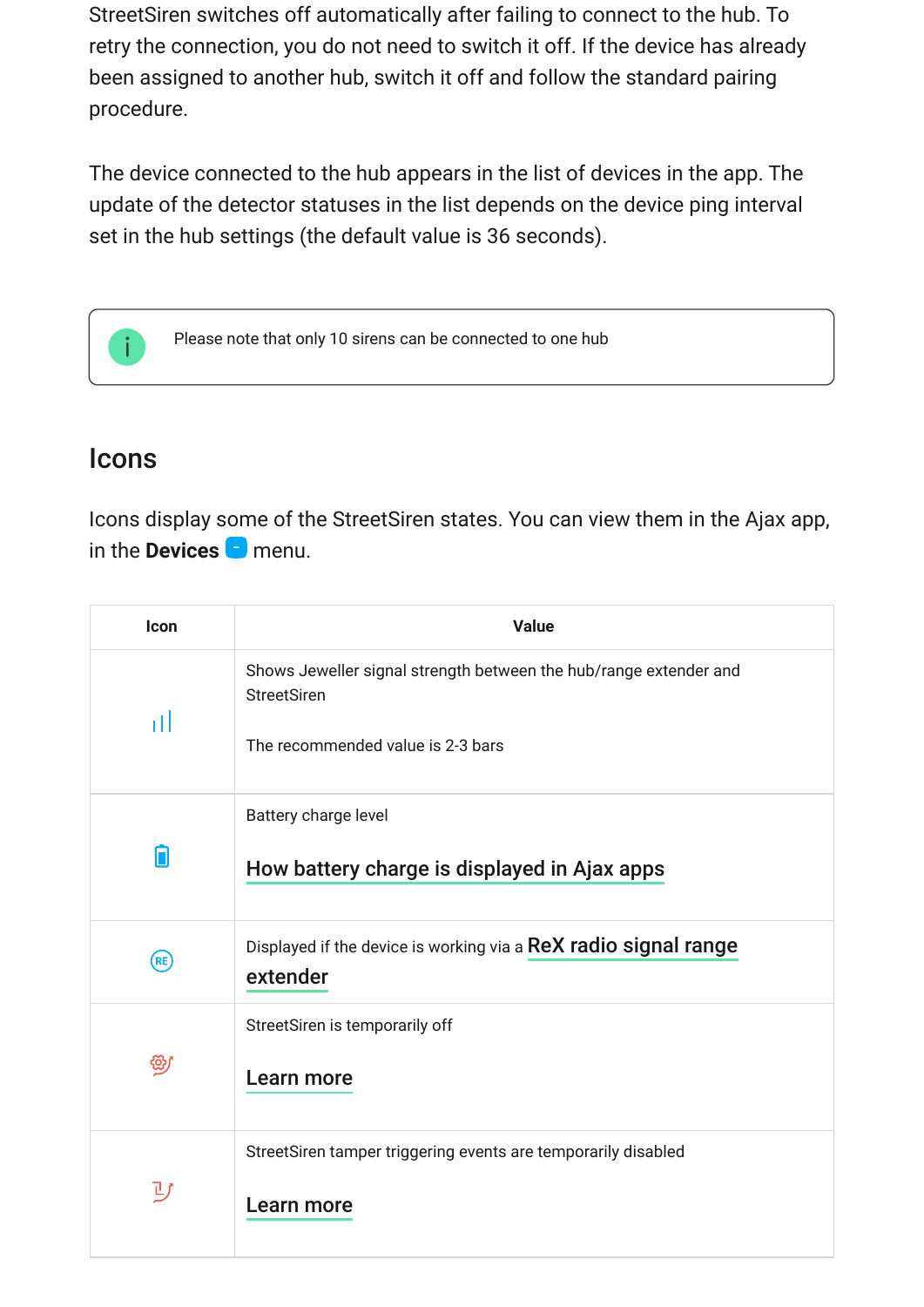StreetSiren switches off automatically after failing to connect to the hub. To retry the connection, you do not need to switch it off. If the device has already been assigned to another hub, switch it off and follow the standard pairing procedure.

The device connected to the hub appears in the list of devices in the app. The update of the detector statuses in the list depends on the device ping interval set in the hub settings (the default value is 36 seconds).



Please note that only 10 sirens can be connected to one hub

### Icons

Icons display some of the StreetSiren states. You can view them in the Ajax app, in the **Devices D** menu.

| Icon | <b>Value</b>                                                                                                                 |
|------|------------------------------------------------------------------------------------------------------------------------------|
| тH   | Shows Jeweller signal strength between the hub/range extender and<br><b>StreetSiren</b><br>The recommended value is 2-3 bars |
|      | Battery charge level<br>How battery charge is displayed in Ajax apps                                                         |
| (RE) | Displayed if the device is working via a ReX radio signal range<br>extender                                                  |
| ఱ    | StreetSiren is temporarily off<br>Learn more                                                                                 |
| リ    | StreetSiren tamper triggering events are temporarily disabled<br>Learn more                                                  |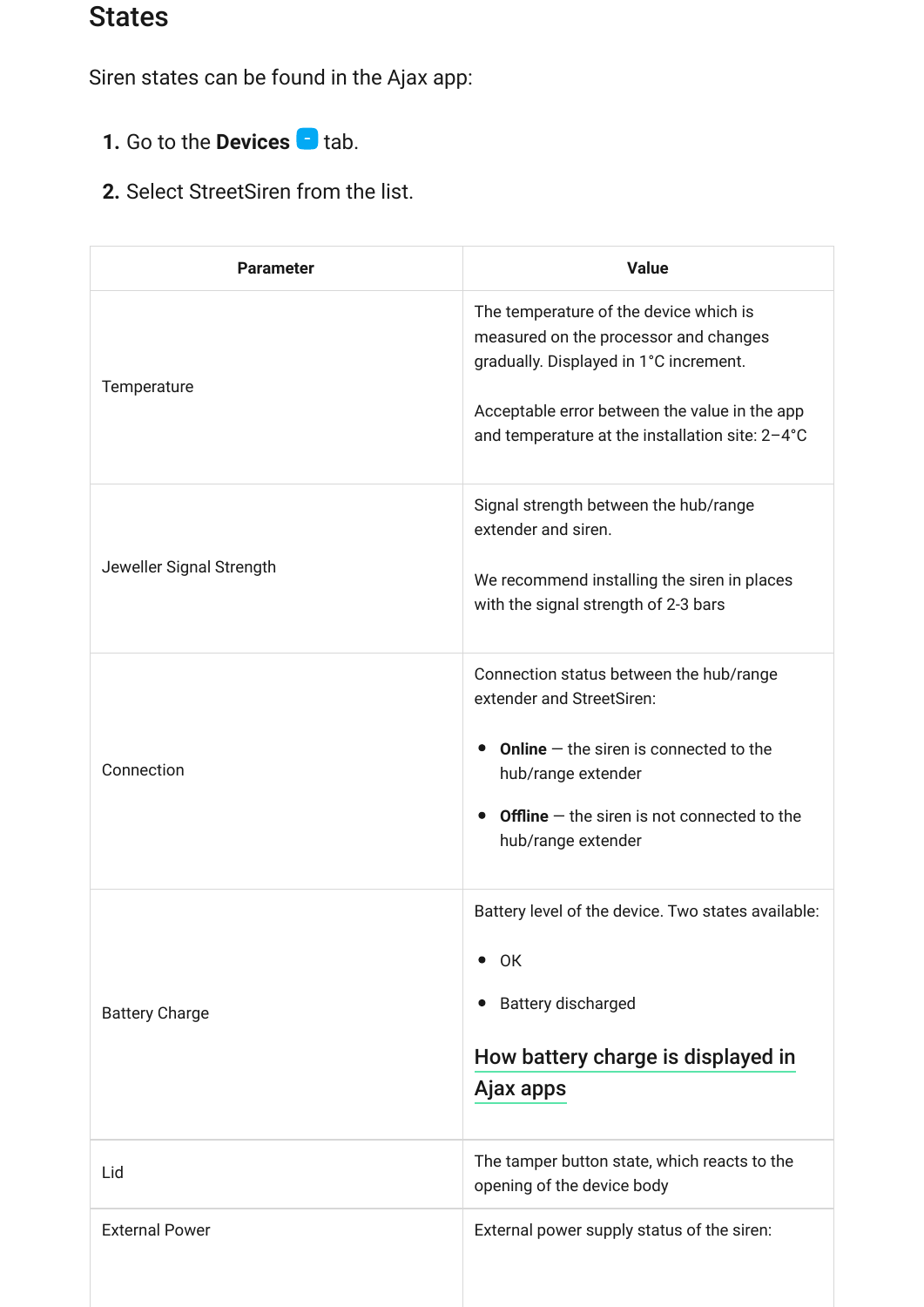## States

Siren states can be found in the Ajax app:

- **1.** Go to the **Devices D** tab.
- **2.** Select StreetSiren from the list.

| <b>Parameter</b>         | <b>Value</b>                                                                                                                                                                                                                             |
|--------------------------|------------------------------------------------------------------------------------------------------------------------------------------------------------------------------------------------------------------------------------------|
| Temperature              | The temperature of the device which is<br>measured on the processor and changes<br>gradually. Displayed in 1°C increment.<br>Acceptable error between the value in the app<br>and temperature at the installation site: 2-4°C            |
| Jeweller Signal Strength | Signal strength between the hub/range<br>extender and siren.<br>We recommend installing the siren in places<br>with the signal strength of 2-3 bars                                                                                      |
| Connection               | Connection status between the hub/range<br>extender and StreetSiren:<br><b>Online</b> $-$ the siren is connected to the<br>$\bullet$<br>hub/range extender<br><b>Offline</b> $-$ the siren is not connected to the<br>hub/range extender |
| <b>Battery Charge</b>    | Battery level of the device. Two states available:<br>$\bullet$ OK<br><b>Battery discharged</b><br>$\bullet$<br>How battery charge is displayed in<br>Ajax apps                                                                          |
| Lid                      | The tamper button state, which reacts to the<br>opening of the device body                                                                                                                                                               |
| <b>External Power</b>    | External power supply status of the siren:                                                                                                                                                                                               |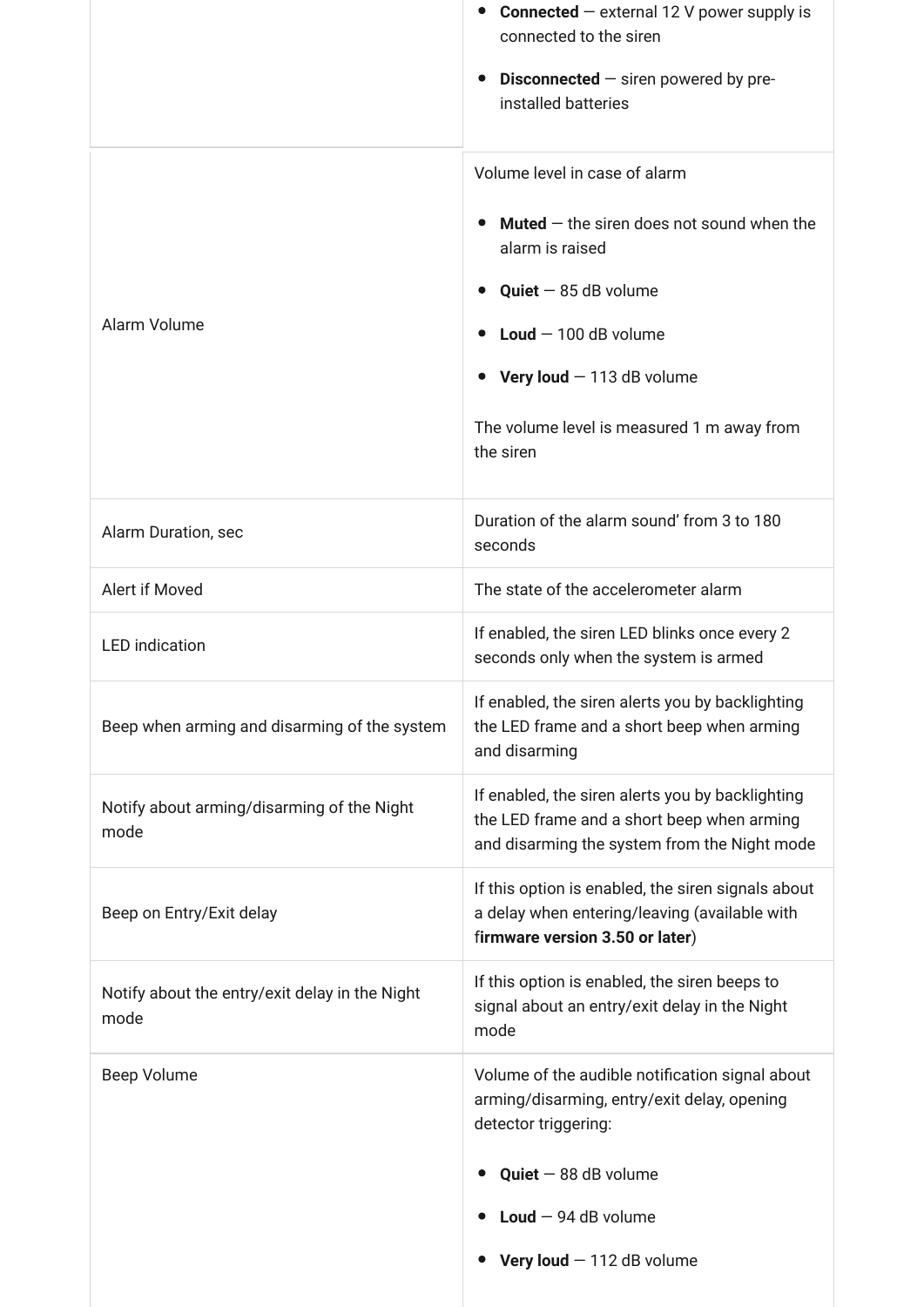|                                                        | <b>Connected</b> $-$ external 12 V power supply is<br>connected to the siren<br><b>Disconnected</b> $-$ siren powered by pre-<br>installed batteries                                                                                                      |
|--------------------------------------------------------|-----------------------------------------------------------------------------------------------------------------------------------------------------------------------------------------------------------------------------------------------------------|
| Alarm Volume                                           | Volume level in case of alarm<br><b>Muted</b> $-$ the siren does not sound when the<br>alarm is raised<br><b>Quiet</b> $-$ 85 dB volume<br>Loud $-100$ dB volume<br>Very loud $-113$ dB volume<br>The volume level is measured 1 m away from<br>the siren |
| Alarm Duration, sec                                    | Duration of the alarm sound' from 3 to 180<br>seconds                                                                                                                                                                                                     |
| Alert if Moved                                         | The state of the accelerometer alarm                                                                                                                                                                                                                      |
| <b>LED</b> indication                                  | If enabled, the siren LED blinks once every 2<br>seconds only when the system is armed                                                                                                                                                                    |
| Beep when arming and disarming of the system           | If enabled, the siren alerts you by backlighting<br>the LED frame and a short beep when arming<br>and disarming                                                                                                                                           |
| Notify about arming/disarming of the Night<br>mode     | If enabled, the siren alerts you by backlighting<br>the LED frame and a short beep when arming<br>and disarming the system from the Night mode                                                                                                            |
| Beep on Entry/Exit delay                               | If this option is enabled, the siren signals about<br>a delay when entering/leaving (available with<br>firmware version 3.50 or later)                                                                                                                    |
| Notify about the entry/exit delay in the Night<br>mode | If this option is enabled, the siren beeps to<br>signal about an entry/exit delay in the Night<br>mode                                                                                                                                                    |
| Beep Volume                                            | Volume of the audible notification signal about<br>arming/disarming, entry/exit delay, opening<br>detector triggering:<br>$Quiet - 88 dB$ volume<br>Loud $-94$ dB volume<br>Very loud $-112$ dB volume                                                    |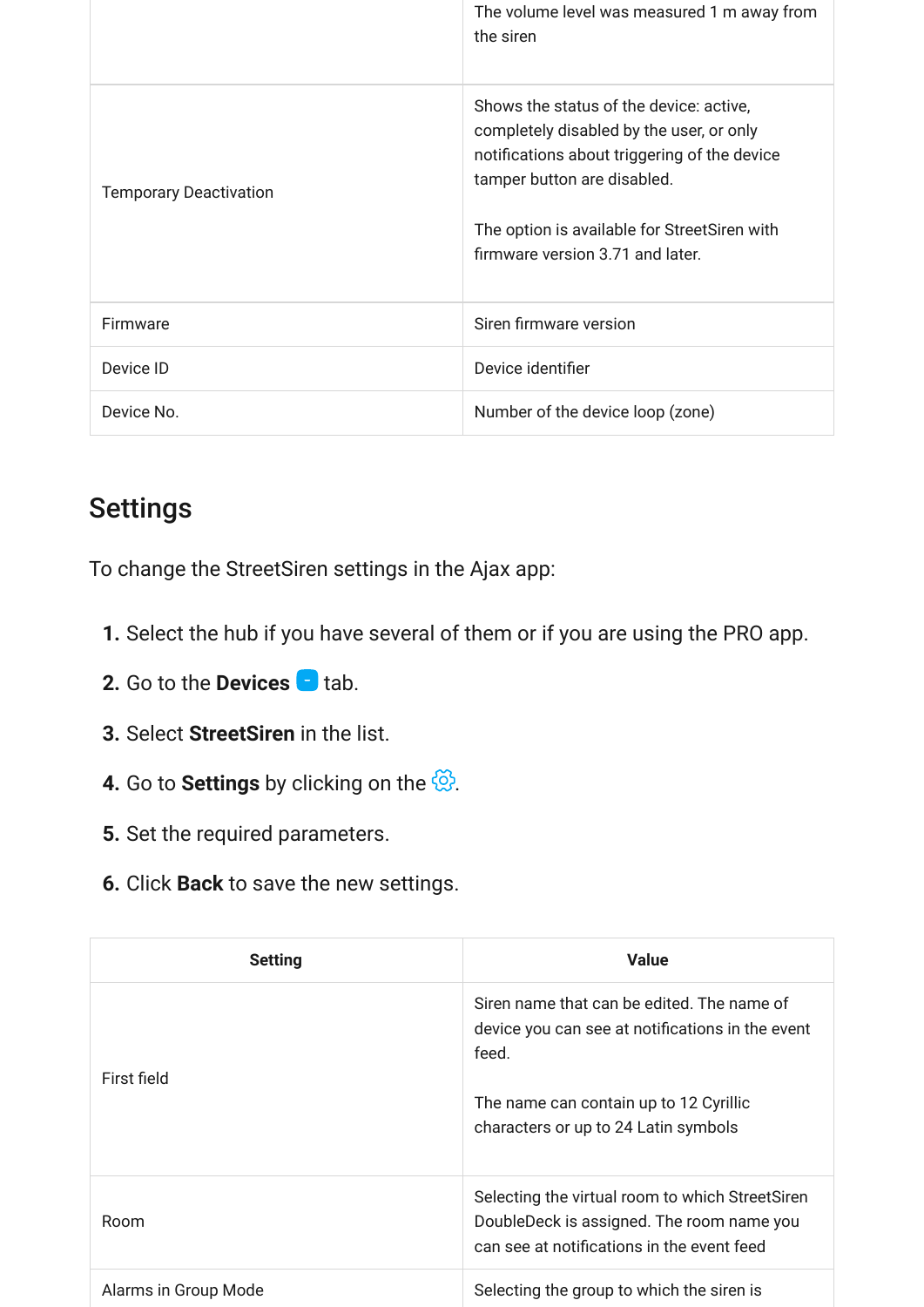|                               | The volume level was measured 1 m away from<br>the siren                                                                                                                                                                                               |
|-------------------------------|--------------------------------------------------------------------------------------------------------------------------------------------------------------------------------------------------------------------------------------------------------|
| <b>Temporary Deactivation</b> | Shows the status of the device: active,<br>completely disabled by the user, or only<br>notifications about triggering of the device<br>tamper button are disabled.<br>The option is available for StreetSiren with<br>firmware version 3.71 and later. |
| Firmware                      | Siren firmware version                                                                                                                                                                                                                                 |
| Device ID                     | Device identifier                                                                                                                                                                                                                                      |
| Device No.                    | Number of the device loop (zone)                                                                                                                                                                                                                       |

## **Settings**

To change the StreetSiren settings in the Ajax app:

- **1.** Select the hub if you have several of them or if you are using the PRO app.
- **2.** Go to the **Devices d** tab.
- **3.** Select **StreetSiren** in the list.
- **4.** Go to **Settings** by clicking on the  $\frac{\text{C}}{\text{C}}$ .
- **5.** Set the required parameters.
- **6.** Click **Back** to save the new settings.

| <b>Setting</b>       | <b>Value</b>                                                                                                                                                                              |
|----------------------|-------------------------------------------------------------------------------------------------------------------------------------------------------------------------------------------|
| First field          | Siren name that can be edited. The name of<br>device you can see at notifications in the event<br>feed.<br>The name can contain up to 12 Cyrillic<br>characters or up to 24 Latin symbols |
| Room                 | Selecting the virtual room to which StreetSiren<br>DoubleDeck is assigned. The room name you<br>can see at notifications in the event feed                                                |
| Alarms in Group Mode | Selecting the group to which the siren is                                                                                                                                                 |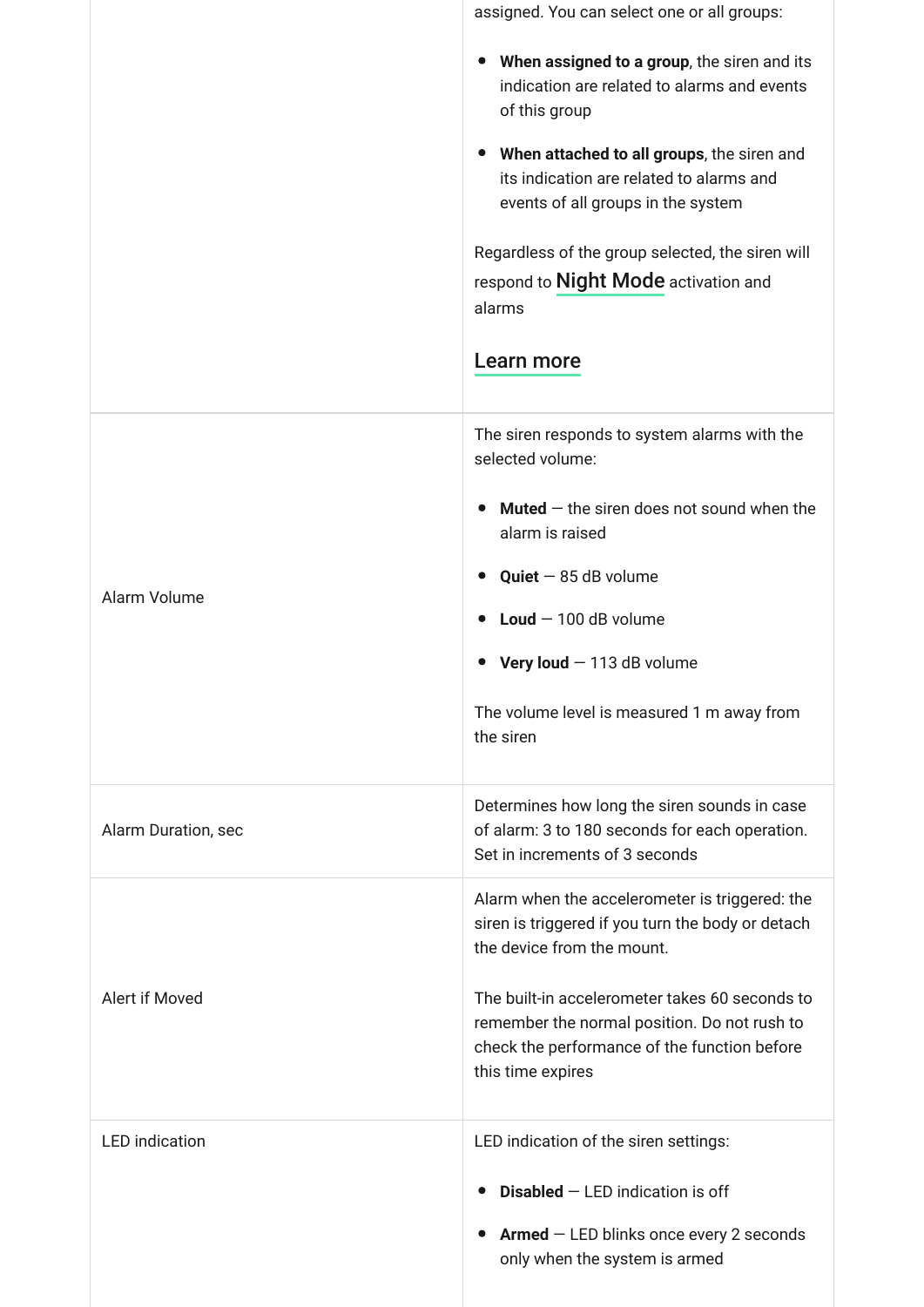|                       | assigned. You can select one or all groups:<br>When assigned to a group, the siren and its<br>$\bullet$<br>indication are related to alarms and events<br>of this group<br>When attached to all groups, the siren and<br>$\bullet$<br>its indication are related to alarms and<br>events of all groups in the system<br>Regardless of the group selected, the siren will<br>respond to Night Mode activation and<br>alarms<br>Learn more |
|-----------------------|------------------------------------------------------------------------------------------------------------------------------------------------------------------------------------------------------------------------------------------------------------------------------------------------------------------------------------------------------------------------------------------------------------------------------------------|
|                       |                                                                                                                                                                                                                                                                                                                                                                                                                                          |
|                       | The siren responds to system alarms with the<br>selected volume:                                                                                                                                                                                                                                                                                                                                                                         |
|                       | <b>Muted</b> $-$ the siren does not sound when the<br>alarm is raised                                                                                                                                                                                                                                                                                                                                                                    |
| Alarm Volume          | $Quiet - 85 dB$ volume<br>$\bullet$                                                                                                                                                                                                                                                                                                                                                                                                      |
|                       | Loud $-100$ dB volume                                                                                                                                                                                                                                                                                                                                                                                                                    |
|                       | Very loud $-113$ dB volume                                                                                                                                                                                                                                                                                                                                                                                                               |
|                       | The volume level is measured 1 m away from<br>the siren                                                                                                                                                                                                                                                                                                                                                                                  |
| Alarm Duration, sec   | Determines how long the siren sounds in case<br>of alarm: 3 to 180 seconds for each operation.<br>Set in increments of 3 seconds                                                                                                                                                                                                                                                                                                         |
|                       | Alarm when the accelerometer is triggered: the<br>siren is triggered if you turn the body or detach<br>the device from the mount.                                                                                                                                                                                                                                                                                                        |
| Alert if Moved        | The built-in accelerometer takes 60 seconds to<br>remember the normal position. Do not rush to<br>check the performance of the function before<br>this time expires                                                                                                                                                                                                                                                                      |
| <b>LED</b> indication | LED indication of the siren settings:                                                                                                                                                                                                                                                                                                                                                                                                    |
|                       | <b>Disabled</b> $-$ LED indication is off                                                                                                                                                                                                                                                                                                                                                                                                |
|                       | $Armed$ – LED blinks once every 2 seconds<br>only when the system is armed                                                                                                                                                                                                                                                                                                                                                               |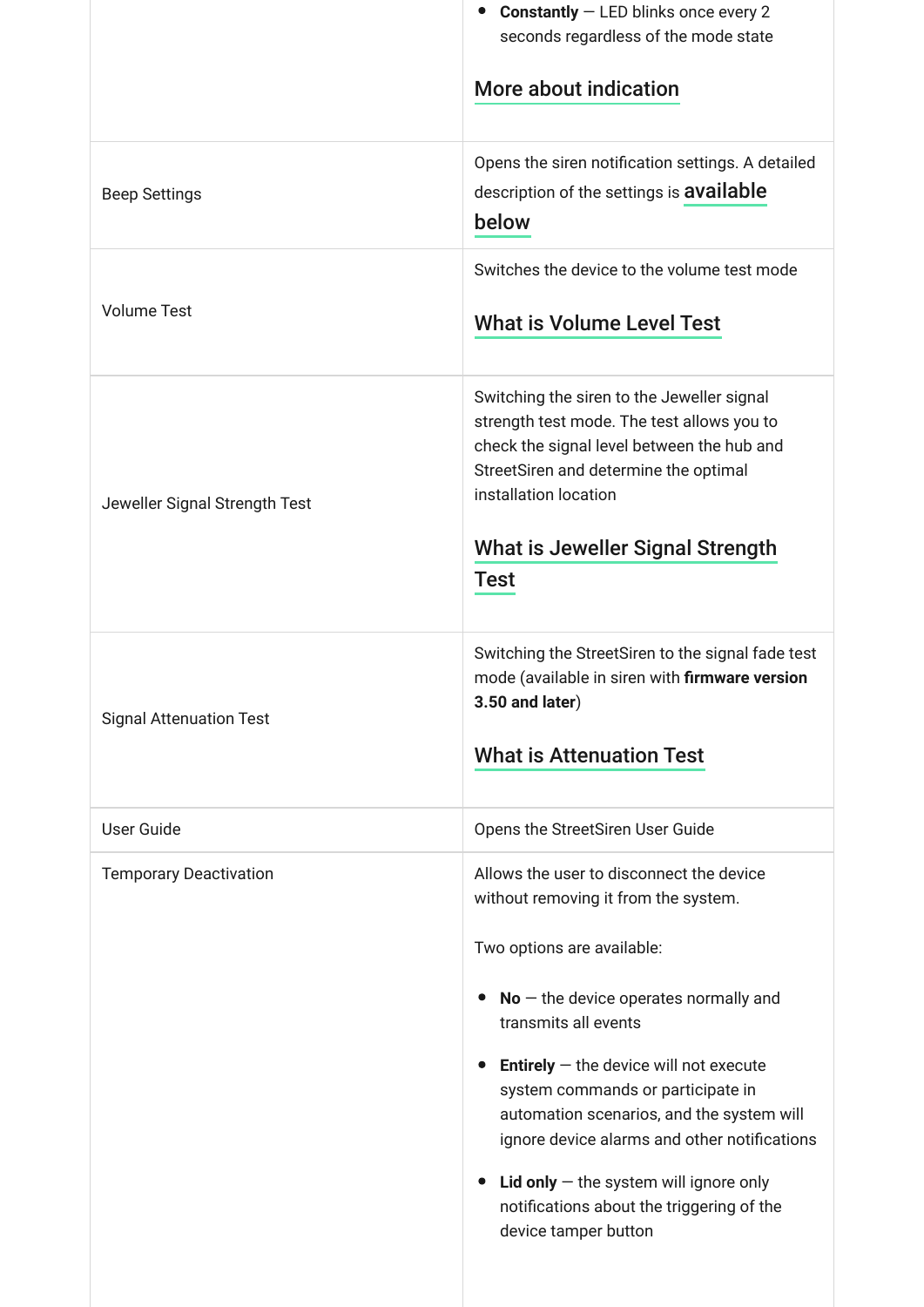|                                | <b>Constantly</b> $-$ LED blinks once every 2<br>$\bullet$<br>seconds regardless of the mode state<br>More about indication                                                                                                                                                                                                                                                                                                                                                                                       |
|--------------------------------|-------------------------------------------------------------------------------------------------------------------------------------------------------------------------------------------------------------------------------------------------------------------------------------------------------------------------------------------------------------------------------------------------------------------------------------------------------------------------------------------------------------------|
| <b>Beep Settings</b>           | Opens the siren notification settings. A detailed<br>description of the settings is <b>available</b><br>below                                                                                                                                                                                                                                                                                                                                                                                                     |
| <b>Volume Test</b>             | Switches the device to the volume test mode<br><b>What is Volume Level Test</b>                                                                                                                                                                                                                                                                                                                                                                                                                                   |
| Jeweller Signal Strength Test  | Switching the siren to the Jeweller signal<br>strength test mode. The test allows you to<br>check the signal level between the hub and<br>StreetSiren and determine the optimal<br>installation location<br><b>What is Jeweller Signal Strength</b><br>Test                                                                                                                                                                                                                                                       |
| <b>Signal Attenuation Test</b> | Switching the StreetSiren to the signal fade test<br>mode (available in siren with firmware version<br>$3.50$ and later)<br><b>What is Attenuation Test</b>                                                                                                                                                                                                                                                                                                                                                       |
| <b>User Guide</b>              | Opens the StreetSiren User Guide                                                                                                                                                                                                                                                                                                                                                                                                                                                                                  |
| <b>Temporary Deactivation</b>  | Allows the user to disconnect the device<br>without removing it from the system.<br>Two options are available:<br>$No$ – the device operates normally and<br>$\bullet$<br>transmits all events<br><b>Entirely</b> $-$ the device will not execute<br>system commands or participate in<br>automation scenarios, and the system will<br>ignore device alarms and other notifications<br>Lid only $-$ the system will ignore only<br>$\bullet$<br>notifications about the triggering of the<br>device tamper button |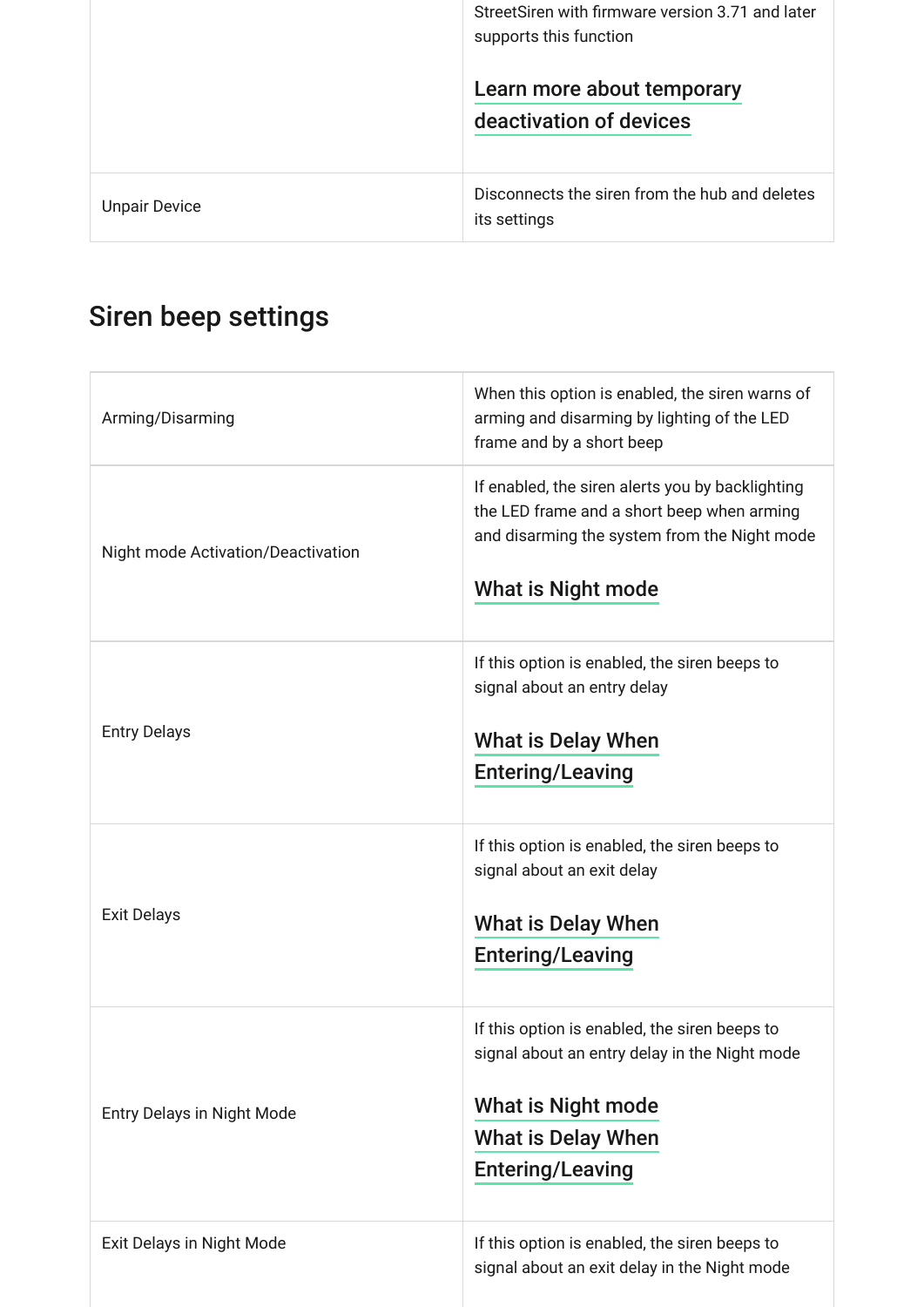|                      | StreetSiren with firmware version 3.71 and later<br>supports this function |
|----------------------|----------------------------------------------------------------------------|
|                      | Learn more about temporary<br>deactivation of devices                      |
| <b>Unpair Device</b> | Disconnects the siren from the hub and deletes<br>its settings             |

## <span id="page-10-0"></span>Siren beep settings

| Arming/Disarming                   | When this option is enabled, the siren warns of<br>arming and disarming by lighting of the LED<br>frame and by a short beep                                                         |
|------------------------------------|-------------------------------------------------------------------------------------------------------------------------------------------------------------------------------------|
| Night mode Activation/Deactivation | If enabled, the siren alerts you by backlighting<br>the LED frame and a short beep when arming<br>and disarming the system from the Night mode<br><b>What is Night mode</b>         |
| <b>Entry Delays</b>                | If this option is enabled, the siren beeps to<br>signal about an entry delay<br><b>What is Delay When</b><br><b>Entering/Leaving</b>                                                |
| <b>Exit Delays</b>                 | If this option is enabled, the siren beeps to<br>signal about an exit delay<br><b>What is Delay When</b><br><b>Entering/Leaving</b>                                                 |
| <b>Entry Delays in Night Mode</b>  | If this option is enabled, the siren beeps to<br>signal about an entry delay in the Night mode<br><b>What is Night mode</b><br><b>What is Delay When</b><br><b>Entering/Leaving</b> |
| Exit Delays in Night Mode          | If this option is enabled, the siren beeps to<br>signal about an exit delay in the Night mode                                                                                       |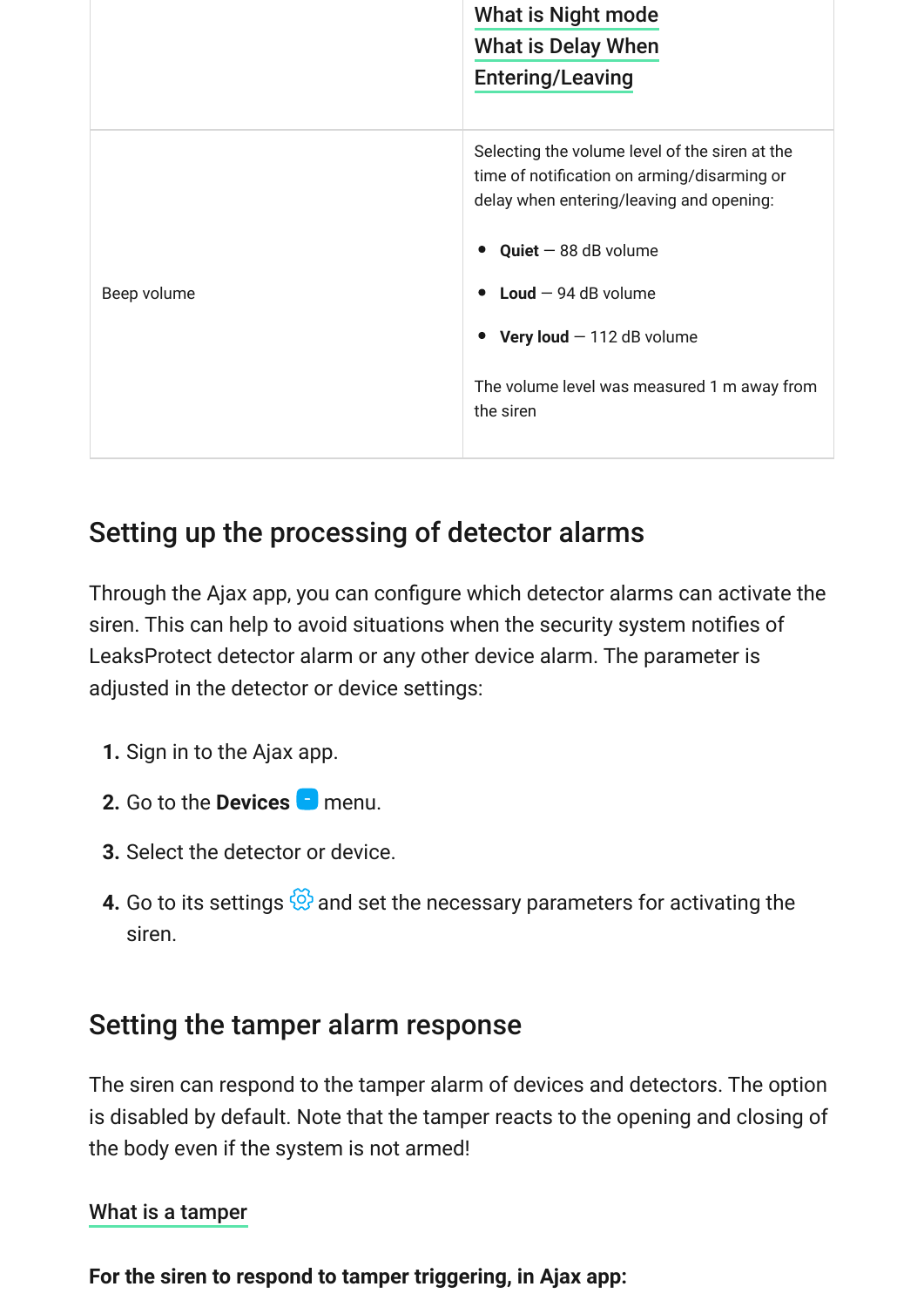|             | <b>What is Night mode</b><br><b>What is Delay When</b><br><b>Entering/Leaving</b>                                                         |
|-------------|-------------------------------------------------------------------------------------------------------------------------------------------|
|             | Selecting the volume level of the siren at the<br>time of notification on arming/disarming or<br>delay when entering/leaving and opening: |
|             | $Quiet - 88 dB$ volume                                                                                                                    |
| Beep volume | $\bullet$ Loud $-$ 94 dB volume                                                                                                           |
|             | Very loud $-112$ dB volume                                                                                                                |
|             | The volume level was measured 1 m away from<br>the siren                                                                                  |

## Setting up the processing of detector alarms

Through the Ajax app, you can configure which detector alarms can activate the siren. This can help to avoid situations when the security system notifies of LeaksProtect detector alarm or any other device alarm. The parameter is adjusted in the detector or device settings:

- **1.** Sign in to the Ajax app.
- **2.** Go to the **Devices n** menu.
- **3.** Select the detector or device.
- **4.** Go to its settings  $\circled{S}$  and set the necessary parameters for activating the siren.

### Setting the tamper alarm response

The siren can respond to the tamper alarm of devices and detectors. The option is disabled by default. Note that the tamper reacts to the opening and closing of the body even if the system is not armed!

#### [What is a tamper](https://support.ajax.systems/en/faqs/what-is-a-tamper/)

**For the siren to respond to tamper triggering, in Ajax app:**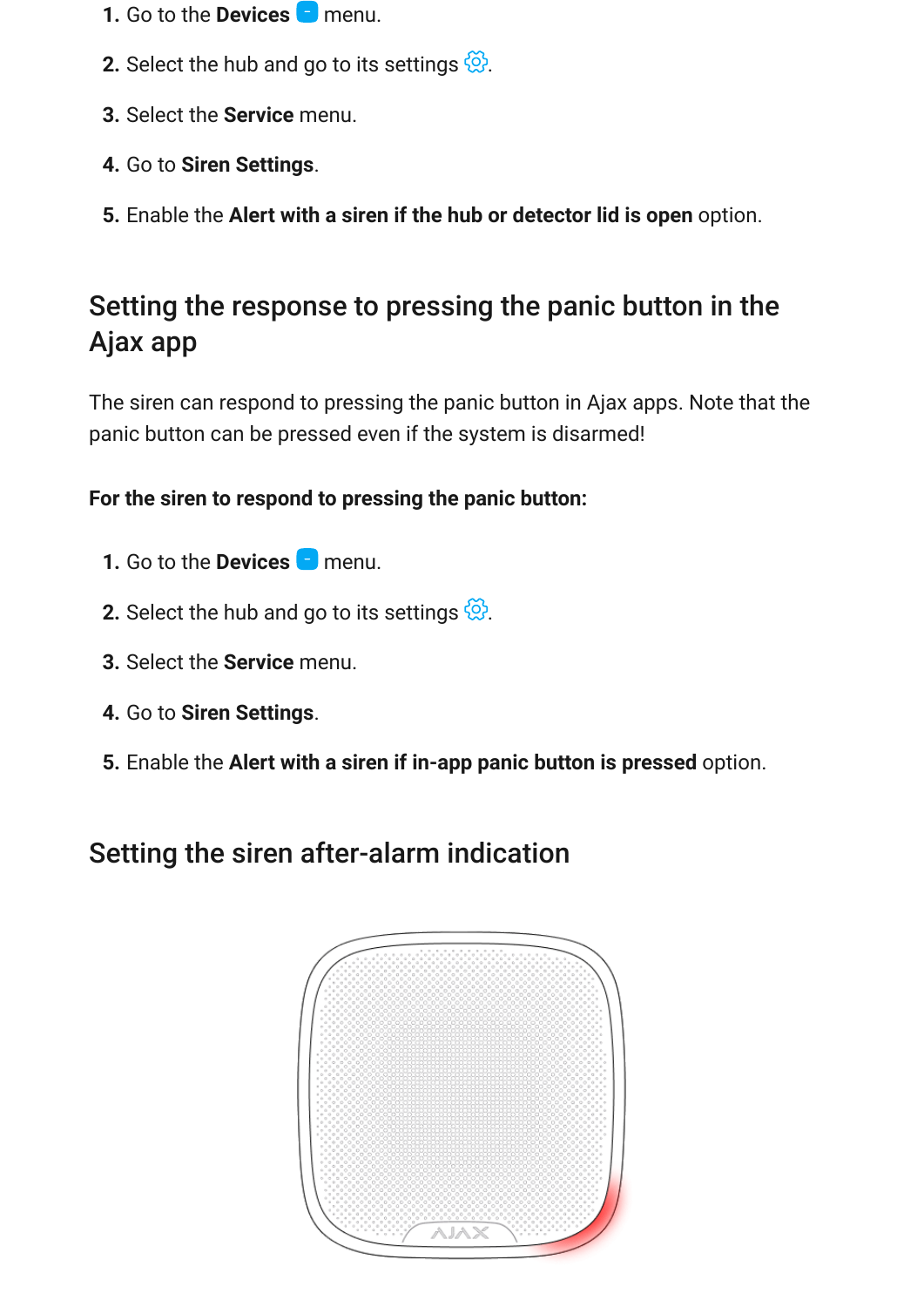- **1.** Go to the **Devices n** menu.
- **2.** Select the hub and go to its settings  $\frac{\omega}{\omega}$ .
- **3.** Select the **Service** menu.
- **4.** Go to **Siren Settings**.
- **5.** Enable the **Alert with a siren if the hub or detector lid is open** option.

## Setting the response to pressing the panic button in the Ajax app

The siren can respond to pressing the panic button in Ajax apps. Note that the panic button can be pressed even if the system is disarmed!

#### **For the siren to respond to pressing the panic button:**

- **1.** Go to the **Devices n** menu.
- **2.** Select the hub and go to its settings  $\frac{\omega}{\omega}$ .
- **3.** Select the **Service** menu.
- **4.** Go to **Siren Settings**.
- **5.** Enable the **Alert with a siren if in-app panic button is pressed** option.

## Setting the siren after-alarm indication

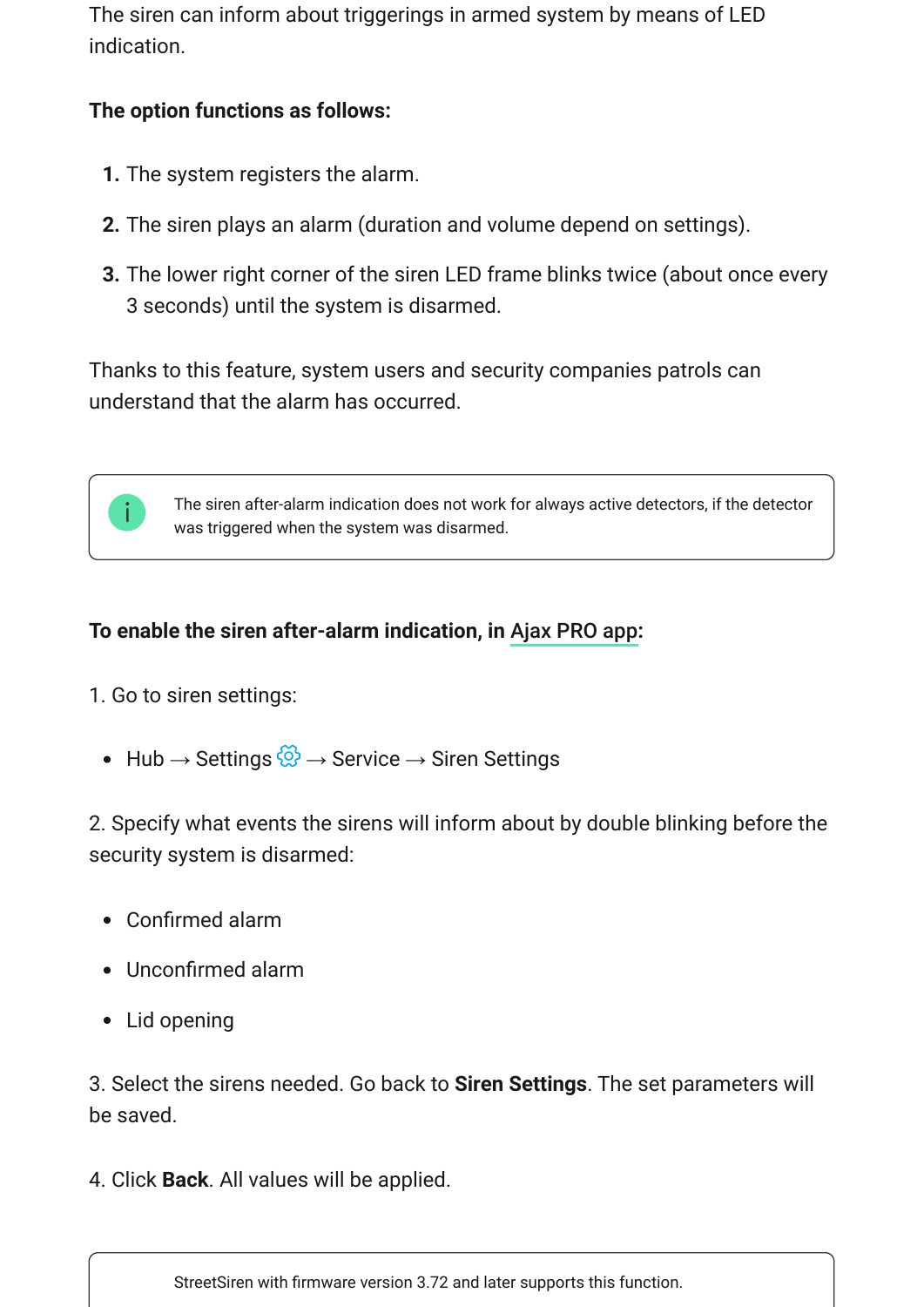The siren can inform about triggerings in armed system by means of LED indication.

#### **The option functions as follows:**

- **1.** The system registers the alarm.
- **2.** The siren plays an alarm (duration and volume depend on settings).
- **3.** The lower right corner of the siren LED frame blinks twice (about once every 3 seconds) until the system is disarmed.

Thanks to this feature, system users and security companies patrols can understand that the alarm has occurred.



### To enable the siren after-alarm indication, in Ajax PRO app:

- 1. Go to siren settings:
	- Hub → Settings  $\frac{\odot}{\odot}$  → Service → Siren Settings

2. Specify what events the sirens will inform about by double blinking before the security system is disarmed:

- Confirmed alarm
- Unconfirmed alarm
- Lid opening

3. Select the sirens needed. Go back to **Siren Settings**. The set parameters will be saved.

4. Click **Back**. All values will be applied.

StreetSiren with firmware version 3.72 and later supports this function.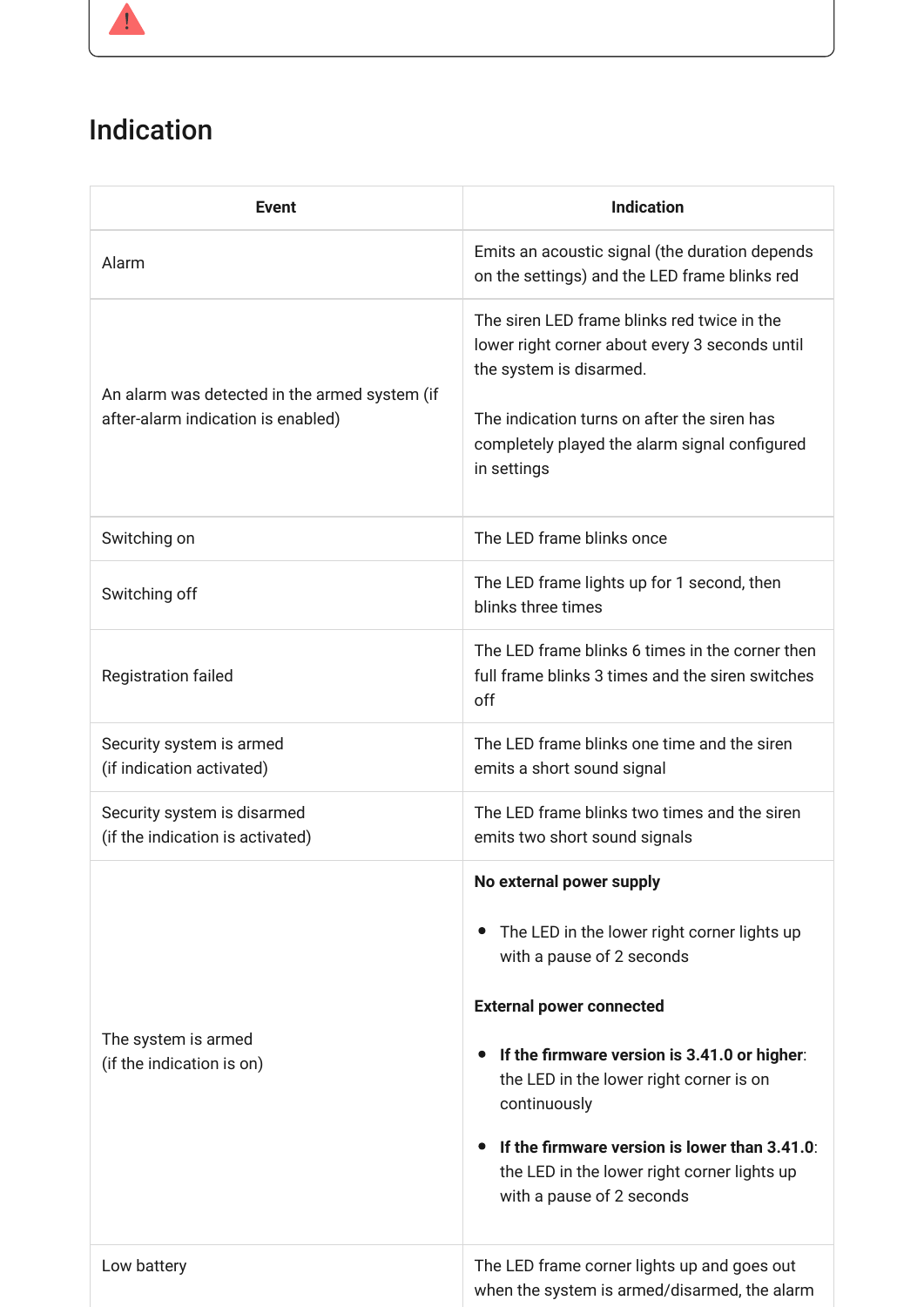## <span id="page-14-0"></span>Indication

| <b>Event</b>                                                                        | <b>Indication</b>                                                                                                                                                                                                                                                                                                                                                                            |
|-------------------------------------------------------------------------------------|----------------------------------------------------------------------------------------------------------------------------------------------------------------------------------------------------------------------------------------------------------------------------------------------------------------------------------------------------------------------------------------------|
| Alarm                                                                               | Emits an acoustic signal (the duration depends<br>on the settings) and the LED frame blinks red                                                                                                                                                                                                                                                                                              |
| An alarm was detected in the armed system (if<br>after-alarm indication is enabled) | The siren LED frame blinks red twice in the<br>lower right corner about every 3 seconds until<br>the system is disarmed.<br>The indication turns on after the siren has<br>completely played the alarm signal configured<br>in settings                                                                                                                                                      |
| Switching on                                                                        | The LED frame blinks once                                                                                                                                                                                                                                                                                                                                                                    |
| Switching off                                                                       | The LED frame lights up for 1 second, then<br>blinks three times                                                                                                                                                                                                                                                                                                                             |
| <b>Registration failed</b>                                                          | The LED frame blinks 6 times in the corner then<br>full frame blinks 3 times and the siren switches<br>off                                                                                                                                                                                                                                                                                   |
| Security system is armed<br>(if indication activated)                               | The LED frame blinks one time and the siren<br>emits a short sound signal                                                                                                                                                                                                                                                                                                                    |
| Security system is disarmed<br>(if the indication is activated)                     | The LED frame blinks two times and the siren<br>emits two short sound signals                                                                                                                                                                                                                                                                                                                |
| The system is armed<br>(if the indication is on)                                    | No external power supply<br>The LED in the lower right corner lights up<br>with a pause of 2 seconds<br><b>External power connected</b><br>If the firmware version is 3.41.0 or higher:<br>$\bullet$<br>the LED in the lower right corner is on<br>continuously<br>If the firmware version is lower than 3.41.0:<br>the LED in the lower right corner lights up<br>with a pause of 2 seconds |
| Low battery                                                                         | The LED frame corner lights up and goes out<br>when the system is armed/disarmed, the alarm                                                                                                                                                                                                                                                                                                  |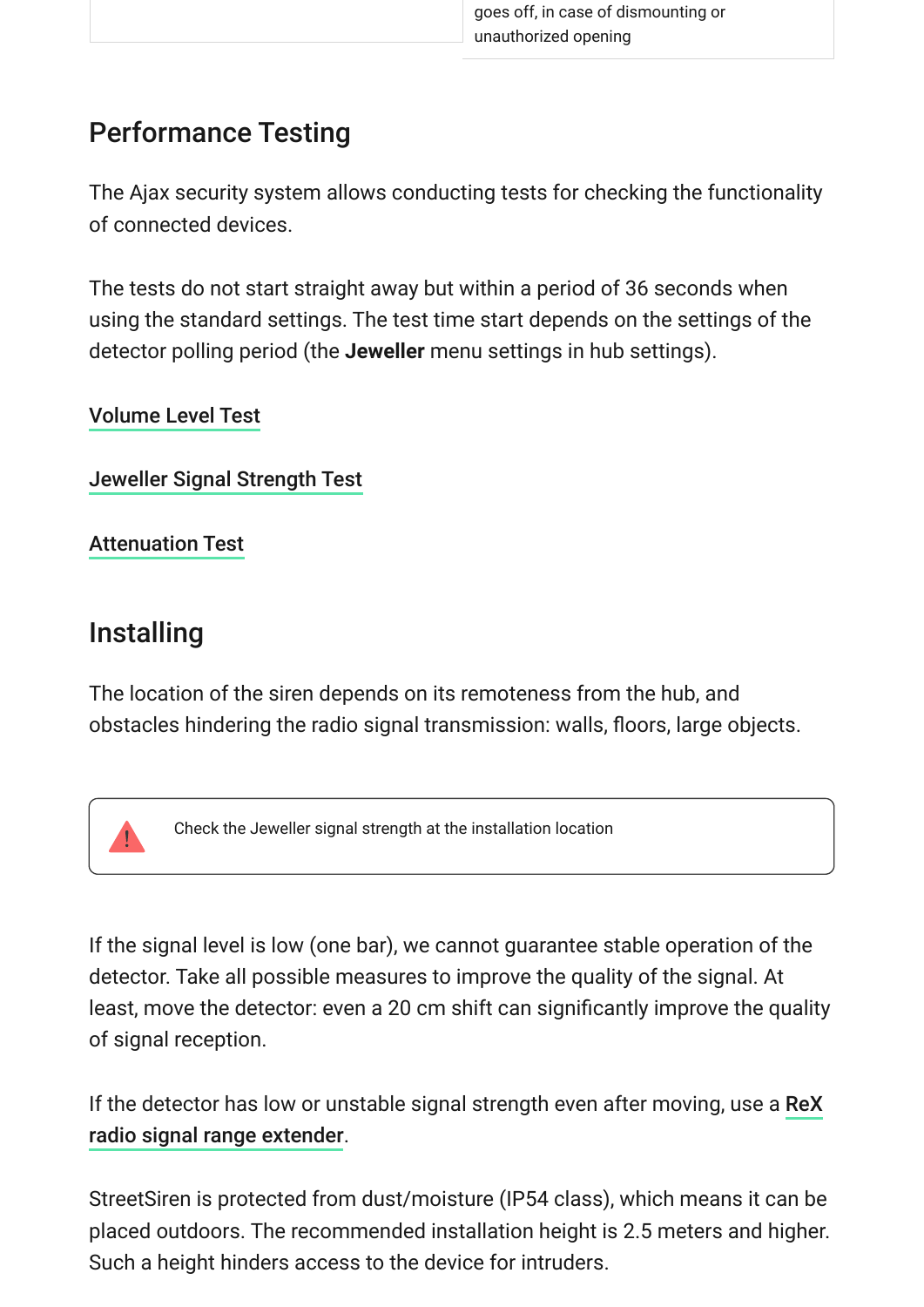## Performance Testing

The Ajax security system allows conducting tests for checking the functionality of connected devices.

The tests do not start straight away but within a period of 36 seconds when using the standard settings. The test time start depends on the settings of the detector polling period (the **Jeweller** menu settings in hub settings).

#### [Volume Level Test](https://support.ajax.systems/en/faqs/what-is-volume-level-test/)

[Jeweller Signal Strength Test](https://support.ajax.systems/en/what-is-signal-strenght-test/)

[Attenuation Test](https://support.ajax.systems/en/what-is-attenuation-test/)

## Installing

The location of the siren depends on its remoteness from the hub, and obstacles hindering the radio signal transmission: walls, floors, large objects.

Check the Jeweller signal strength at the installation location

If the signal level is low (one bar), we cannot guarantee stable operation of the detector. Take all possible measures to improve the quality of the signal. At least, move the detector: even a 20 cm shift can significantly improve the quality of signal reception.

[If the detector has low or unstable signal strength even after moving, use a](https://ajax.systems/products/rex/) ReX . radio signal range extender

StreetSiren is protected from dust/moisture (IP54 class), which means it can be placed outdoors. The recommended installation height is 2.5 meters and higher. Such a height hinders access to the device for intruders.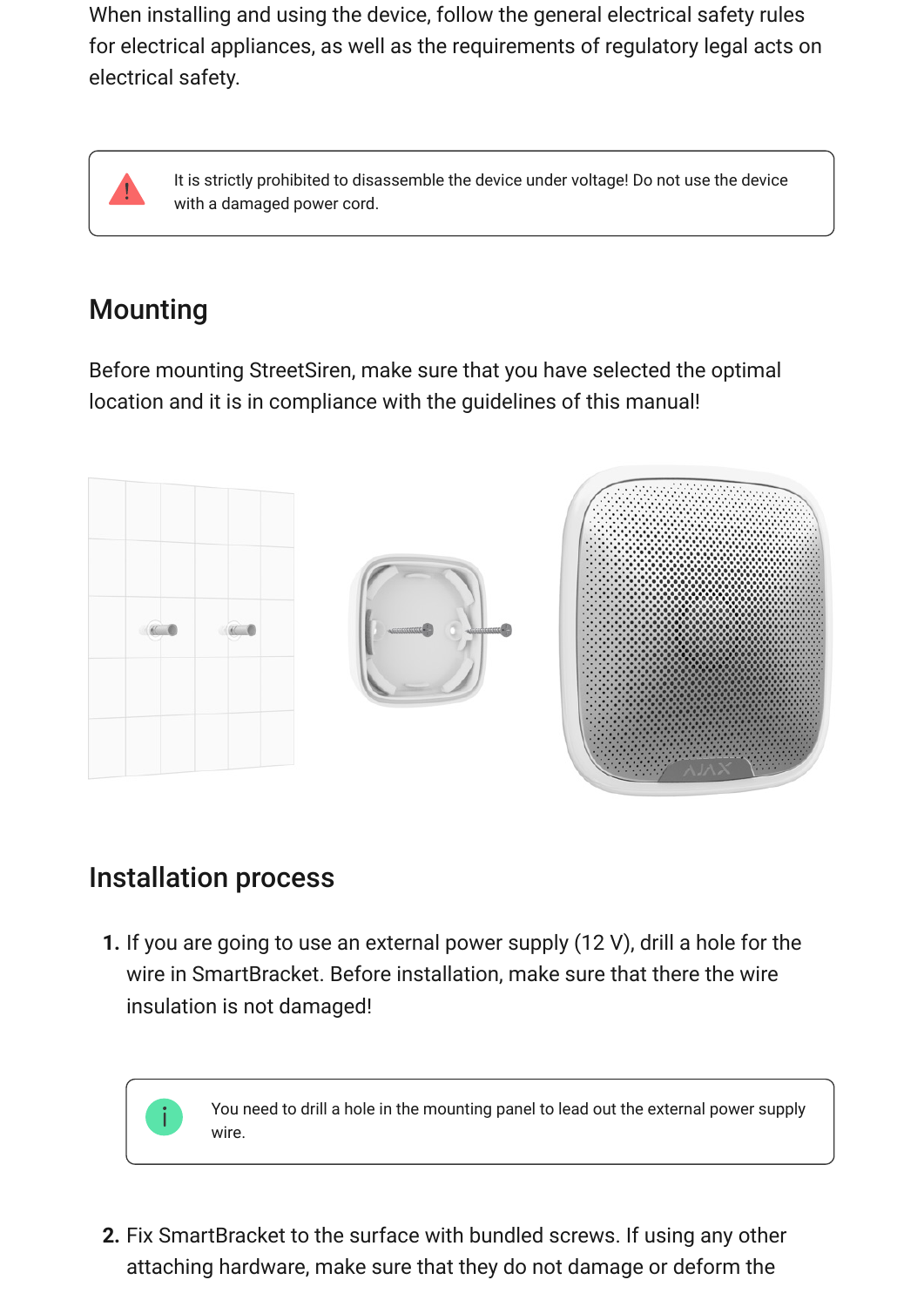When installing and using the device, follow the general electrical safety rules for electrical appliances, as well as the requirements of regulatory legal acts on electrical safety.



It is strictly prohibited to disassemble the device under voltage! Do not use the device with a damaged power cord.

## Mounting

Before mounting StreetSiren, make sure that you have selected the optimal location and it is in compliance with the guidelines of this manual!



### Installation process

**1.** If you are going to use an external power supply (12 V), drill a hole for the wire in SmartBracket. Before installation, make sure that there the wire insulation is not damaged!

> You need to drill a hole in the mounting panel to lead out the external power supply wire.

**2.** Fix SmartBracket to the surface with bundled screws. If using any other attaching hardware, make sure that they do not damage or deform the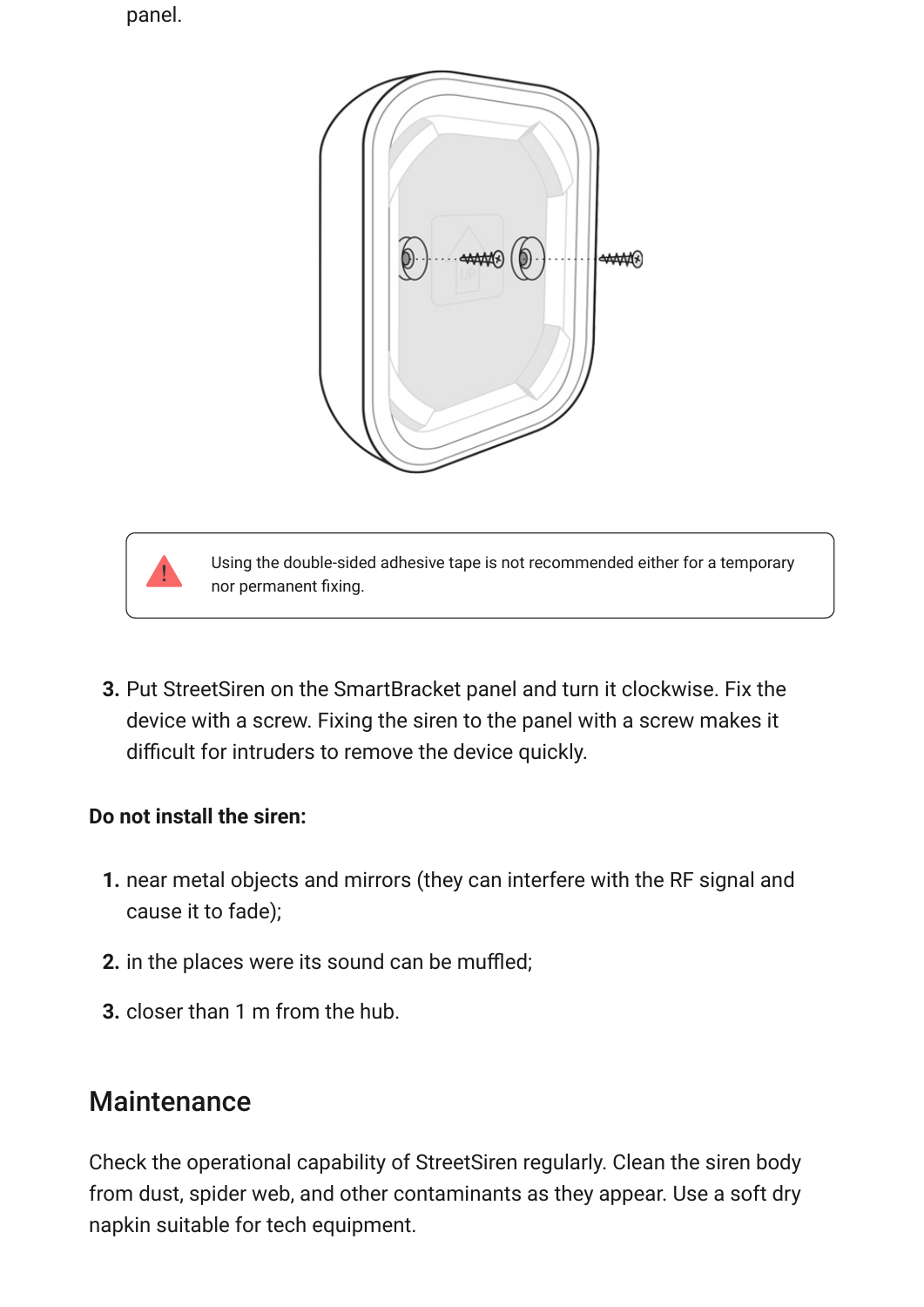panel.





Using the double-sided adhesive tape is not recommended either for a temporary nor permanent fixing.

**3.** Put StreetSiren on the SmartBracket panel and turn it clockwise. Fix the device with a screw. Fixing the siren to the panel with a screw makes it difficult for intruders to remove the device quickly.

#### **Do not install the siren:**

- **1.** near metal objects and mirrors (they can interfere with the RF signal and cause it to fade);
- **2.** in the places were its sound can be muffled;
- **3.** closer than 1 m from the hub.

### **Maintenance**

Check the operational capability of StreetSiren regularly. Clean the siren body from dust, spider web, and other contaminants as they appear. Use a soft dry napkin suitable for tech equipment.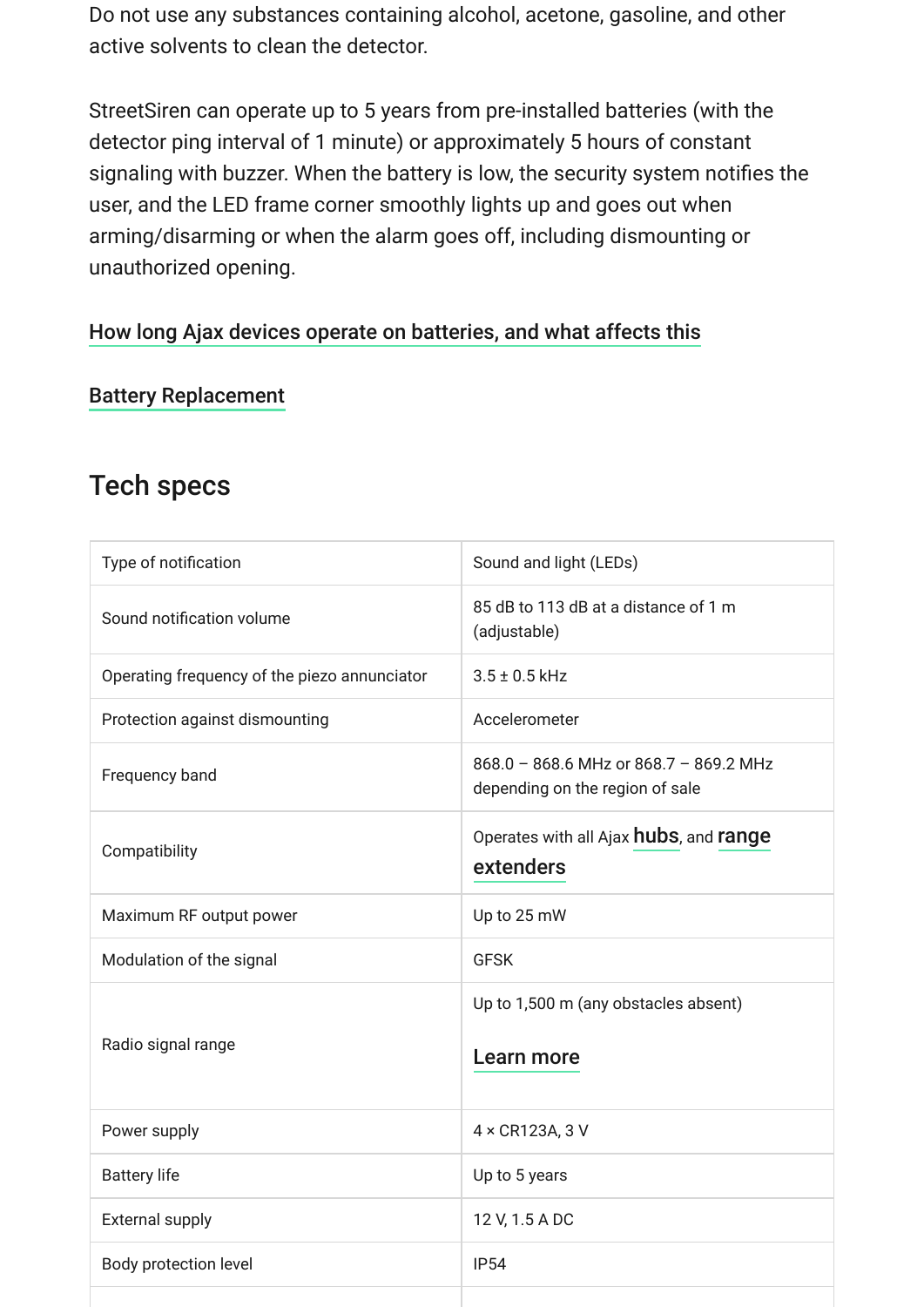Do not use any substances containing alcohol, acetone, gasoline, and other active solvents to clean the detector.

StreetSiren can operate up to 5 years from pre-installed batteries (with the detector ping interval of 1 minute) or approximately 5 hours of constant signaling with buzzer. When the battery is low, the security system notifies the user, and the LED frame corner smoothly lights up and goes out when arming/disarming or when the alarm goes off, including dismounting or unauthorized opening.

### [How long Ajax devices operate on batteries, and what affects this](https://support.ajax.systems/en/how-long-operate-from-batteries/)

[Battery Replacement](https://support.ajax.systems/en/how-to-replace-batteries-in-streetsiren/)

### Tech specs

| Type of notification                         | Sound and light (LEDs)                                                    |
|----------------------------------------------|---------------------------------------------------------------------------|
| Sound notification volume                    | 85 dB to 113 dB at a distance of 1 m<br>(adjustable)                      |
| Operating frequency of the piezo annunciator | $3.5 \pm 0.5$ kHz                                                         |
| Protection against dismounting               | Accelerometer                                                             |
| Frequency band                               | 868.0 - 868.6 MHz or 868.7 - 869.2 MHz<br>depending on the region of sale |
| Compatibility                                | Operates with all Ajax hubs, and range<br>extenders                       |
| Maximum RF output power                      | Up to 25 mW                                                               |
| Modulation of the signal                     | <b>GFSK</b>                                                               |
| Radio signal range                           | Up to 1,500 m (any obstacles absent)<br>Learn more                        |
| Power supply                                 | 4 x CR123A, 3 V                                                           |
| <b>Battery life</b>                          | Up to 5 years                                                             |
| <b>External supply</b>                       | 12 V, 1.5 A DC                                                            |
| Body protection level                        | <b>IP54</b>                                                               |
|                                              |                                                                           |